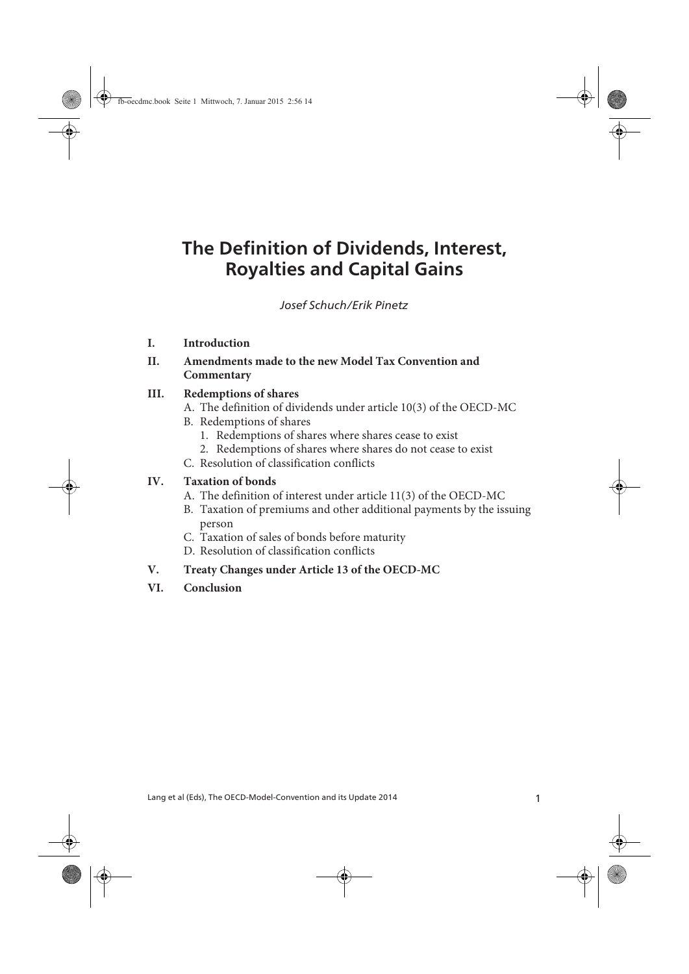# **The Definition of Dividends, Interest, Royalties and Capital Gains**

Schuch/Pinetz The Definition of Dividends, Interest, Royalties and Capital Gains *Josef Schuch/Erik Pinetz*

- **I. Introduction**
- **II. Amendments made to the new Model Tax Convention and Commentary**

#### **III. Redemptions of shares**

- A. The definition of dividends under article 10(3) of the OECD-MC
- B. Redemptions of shares
	- 1. Redemptions of shares where shares cease to exist
	- 2. Redemptions of shares where shares do not cease to exist
- C. Resolution of classification conflicts

#### **IV. Taxation of bonds**

- A. The definition of interest under article 11(3) of the OECD-MC
- B. Taxation of premiums and other additional payments by the issuing person
- C. Taxation of sales of bonds before maturity
- D. Resolution of classification conflicts

#### **V. Treaty Changes under Article 13 of the OECD-MC**

**VI. Conclusion**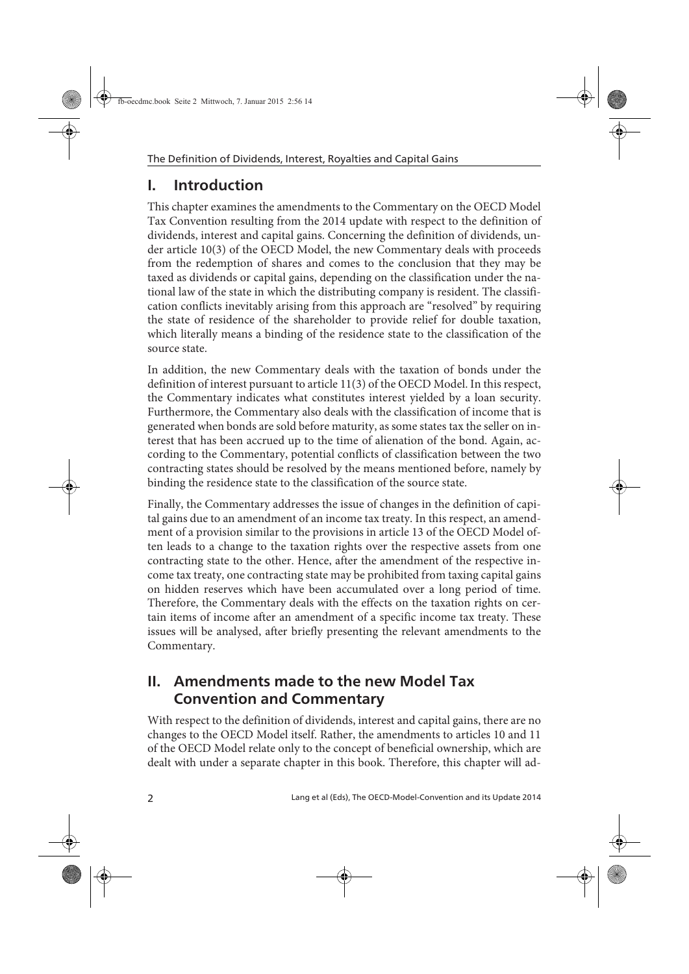## **I. Introduction**

This chapter examines the amendments to the Commentary on the OECD Model Tax Convention resulting from the 2014 update with respect to the definition of dividends, interest and capital gains. Concerning the definition of dividends, under article 10(3) of the OECD Model, the new Commentary deals with proceeds from the redemption of shares and comes to the conclusion that they may be taxed as dividends or capital gains, depending on the classification under the national law of the state in which the distributing company is resident. The classification conflicts inevitably arising from this approach are "resolved" by requiring the state of residence of the shareholder to provide relief for double taxation, which literally means a binding of the residence state to the classification of the source state.

In addition, the new Commentary deals with the taxation of bonds under the definition of interest pursuant to article 11(3) of the OECD Model. In this respect, the Commentary indicates what constitutes interest yielded by a loan security. Furthermore, the Commentary also deals with the classification of income that is generated when bonds are sold before maturity, as some states tax the seller on interest that has been accrued up to the time of alienation of the bond. Again, according to the Commentary, potential conflicts of classification between the two contracting states should be resolved by the means mentioned before, namely by binding the residence state to the classification of the source state.

Finally, the Commentary addresses the issue of changes in the definition of capital gains due to an amendment of an income tax treaty. In this respect, an amendment of a provision similar to the provisions in article 13 of the OECD Model often leads to a change to the taxation rights over the respective assets from one contracting state to the other. Hence, after the amendment of the respective income tax treaty, one contracting state may be prohibited from taxing capital gains on hidden reserves which have been accumulated over a long period of time. Therefore, the Commentary deals with the effects on the taxation rights on certain items of income after an amendment of a specific income tax treaty. These issues will be analysed, after briefly presenting the relevant amendments to the Commentary.

## **II. Amendments made to the new Model Tax Convention and Commentary**

With respect to the definition of dividends, interest and capital gains, there are no changes to the OECD Model itself. Rather, the amendments to articles 10 and 11 of the OECD Model relate only to the concept of beneficial ownership, which are dealt with under a separate chapter in this book. Therefore, this chapter will ad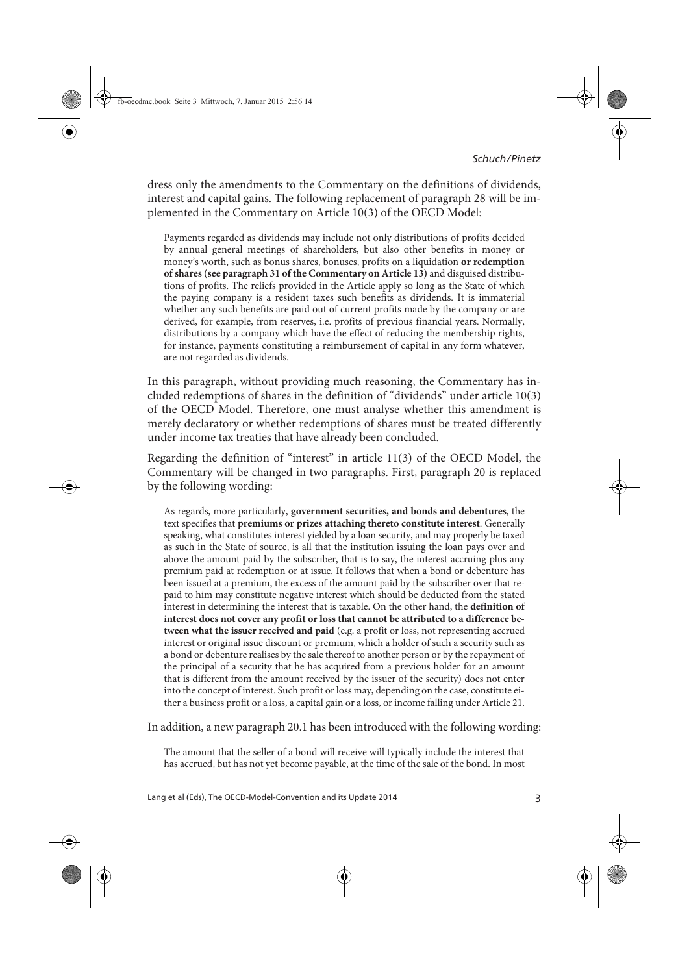dress only the amendments to the Commentary on the definitions of dividends, interest and capital gains. The following replacement of paragraph 28 will be implemented in the Commentary on Article 10(3) of the OECD Model:

Payments regarded as dividends may include not only distributions of profits decided by annual general meetings of shareholders, but also other benefits in money or money's worth, such as bonus shares, bonuses, profits on a liquidation **or redemption of shares (see paragraph 31 of the Commentary on Article 13)** and disguised distributions of profits. The reliefs provided in the Article apply so long as the State of which the paying company is a resident taxes such benefits as dividends. It is immaterial whether any such benefits are paid out of current profits made by the company or are derived, for example, from reserves, i.e. profits of previous financial years. Normally, distributions by a company which have the effect of reducing the membership rights, for instance, payments constituting a reimbursement of capital in any form whatever, are not regarded as dividends.

In this paragraph, without providing much reasoning, the Commentary has included redemptions of shares in the definition of "dividends" under article 10(3) of the OECD Model. Therefore, one must analyse whether this amendment is merely declaratory or whether redemptions of shares must be treated differently under income tax treaties that have already been concluded.

Regarding the definition of "interest" in article 11(3) of the OECD Model, the Commentary will be changed in two paragraphs. First, paragraph 20 is replaced by the following wording:

As regards, more particularly, **government securities, and bonds and debentures**, the text specifies that **premiums or prizes attaching thereto constitute interest**. Generally speaking, what constitutes interest yielded by a loan security, and may properly be taxed as such in the State of source, is all that the institution issuing the loan pays over and above the amount paid by the subscriber, that is to say, the interest accruing plus any premium paid at redemption or at issue. It follows that when a bond or debenture has been issued at a premium, the excess of the amount paid by the subscriber over that repaid to him may constitute negative interest which should be deducted from the stated interest in determining the interest that is taxable. On the other hand, the **definition of interest does not cover any profit or loss that cannot be attributed to a difference between what the issuer received and paid** (e.g. a profit or loss, not representing accrued interest or original issue discount or premium, which a holder of such a security such as a bond or debenture realises by the sale thereof to another person or by the repayment of the principal of a security that he has acquired from a previous holder for an amount that is different from the amount received by the issuer of the security) does not enter into the concept of interest. Such profit or loss may, depending on the case, constitute either a business profit or a loss, a capital gain or a loss, or income falling under Article 21.

In addition, a new paragraph 20.1 has been introduced with the following wording:

The amount that the seller of a bond will receive will typically include the interest that has accrued, but has not yet become payable, at the time of the sale of the bond. In most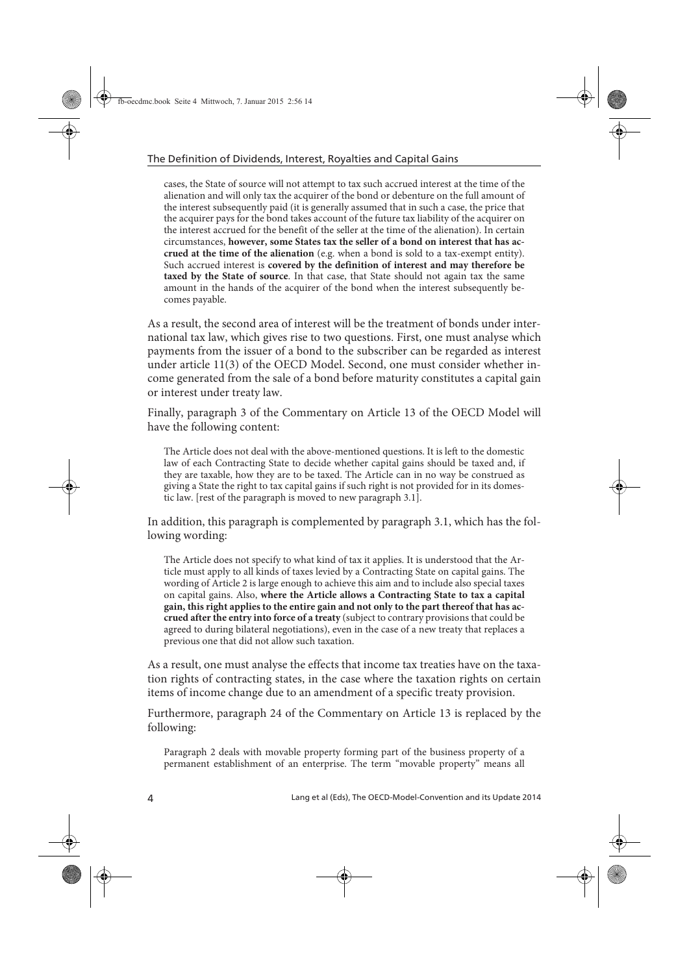cases, the State of source will not attempt to tax such accrued interest at the time of the alienation and will only tax the acquirer of the bond or debenture on the full amount of the interest subsequently paid (it is generally assumed that in such a case, the price that the acquirer pays for the bond takes account of the future tax liability of the acquirer on the interest accrued for the benefit of the seller at the time of the alienation). In certain circumstances, **however, some States tax the seller of a bond on interest that has accrued at the time of the alienation** (e.g. when a bond is sold to a tax-exempt entity). Such accrued interest is **covered by the definition of interest and may therefore be taxed by the State of source**. In that case, that State should not again tax the same amount in the hands of the acquirer of the bond when the interest subsequently becomes payable.

As a result, the second area of interest will be the treatment of bonds under international tax law, which gives rise to two questions. First, one must analyse which payments from the issuer of a bond to the subscriber can be regarded as interest under article 11(3) of the OECD Model. Second, one must consider whether income generated from the sale of a bond before maturity constitutes a capital gain or interest under treaty law.

Finally, paragraph 3 of the Commentary on Article 13 of the OECD Model will have the following content:

The Article does not deal with the above-mentioned questions. It is left to the domestic law of each Contracting State to decide whether capital gains should be taxed and, if they are taxable, how they are to be taxed. The Article can in no way be construed as giving a State the right to tax capital gains if such right is not provided for in its domestic law. [rest of the paragraph is moved to new paragraph 3.1].

In addition, this paragraph is complemented by paragraph 3.1, which has the following wording:

The Article does not specify to what kind of tax it applies. It is understood that the Article must apply to all kinds of taxes levied by a Contracting State on capital gains. The wording of Article 2 is large enough to achieve this aim and to include also special taxes on capital gains. Also, **where the Article allows a Contracting State to tax a capital gain, this right applies to the entire gain and not only to the part thereof that has accrued after the entry into force of a treaty** (subject to contrary provisions that could be agreed to during bilateral negotiations), even in the case of a new treaty that replaces a previous one that did not allow such taxation.

As a result, one must analyse the effects that income tax treaties have on the taxation rights of contracting states, in the case where the taxation rights on certain items of income change due to an amendment of a specific treaty provision.

Furthermore, paragraph 24 of the Commentary on Article 13 is replaced by the following:

Paragraph 2 deals with movable property forming part of the business property of a permanent establishment of an enterprise. The term "movable property" means all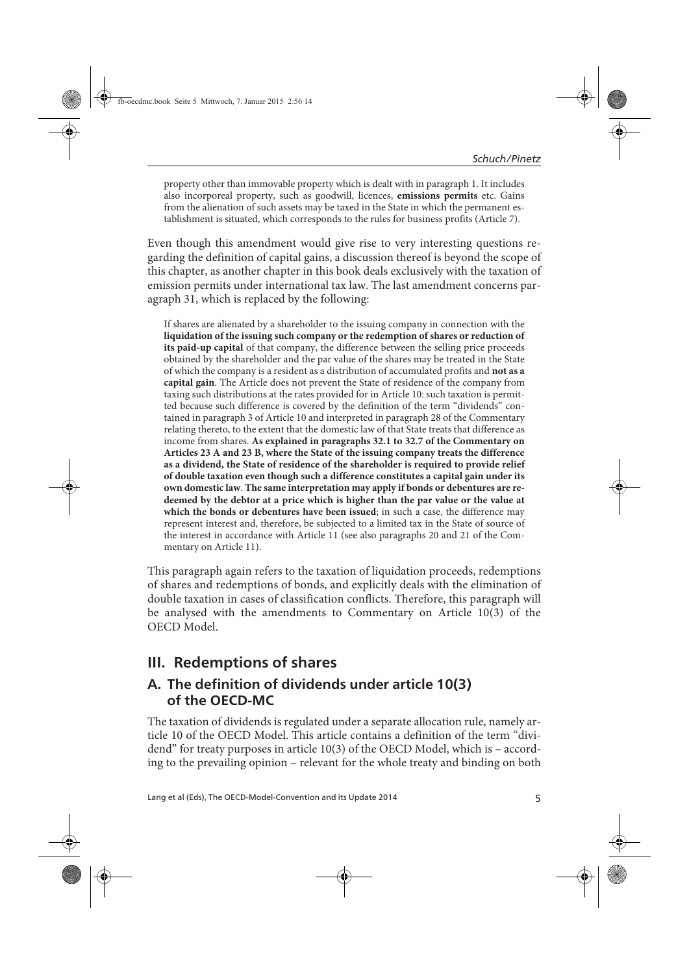property other than immovable property which is dealt with in paragraph 1. It includes also incorporeal property, such as goodwill, licences, **emissions permits** etc. Gains from the alienation of such assets may be taxed in the State in which the permanent establishment is situated, which corresponds to the rules for business profits (Article 7).

Even though this amendment would give rise to very interesting questions regarding the definition of capital gains, a discussion thereof is beyond the scope of this chapter, as another chapter in this book deals exclusively with the taxation of emission permits under international tax law. The last amendment concerns paragraph 31, which is replaced by the following:

If shares are alienated by a shareholder to the issuing company in connection with the **liquidation of the issuing such company or the redemption of shares or reduction of its paid-up capital** of that company, the difference between the selling price proceeds obtained by the shareholder and the par value of the shares may be treated in the State of which the company is a resident as a distribution of accumulated profits and **not as a capital gain**. The Article does not prevent the State of residence of the company from taxing such distributions at the rates provided for in Article 10: such taxation is permitted because such difference is covered by the definition of the term "dividends" contained in paragraph 3 of Article 10 and interpreted in paragraph 28 of the Commentary relating thereto, to the extent that the domestic law of that State treats that difference as income from shares. **As explained in paragraphs 32.1 to 32.7 of the Commentary on Articles 23 A and 23 B, where the State of the issuing company treats the difference as a dividend, the State of residence of the shareholder is required to provide relief of double taxation even though such a difference constitutes a capital gain under its own domestic law**. **The same interpretation may apply if bonds or debentures are redeemed by the debtor at a price which is higher than the par value or the value at which the bonds or debentures have been issued**; in such a case, the difference may represent interest and, therefore, be subjected to a limited tax in the State of source of the interest in accordance with Article 11 (see also paragraphs 20 and 21 of the Commentary on Article 11).

This paragraph again refers to the taxation of liquidation proceeds, redemptions of shares and redemptions of bonds, and explicitly deals with the elimination of double taxation in cases of classification conflicts. Therefore, this paragraph will be analysed with the amendments to Commentary on Article 10(3) of the OECD Model.

### **III. Redemptions of shares**

### **A. The definition of dividends under article 10(3) of the OECD-MC**

The taxation of dividends is regulated under a separate allocation rule, namely article 10 of the OECD Model. This article contains a definition of the term "dividend" for treaty purposes in article 10(3) of the OECD Model, which is – according to the prevailing opinion – relevant for the whole treaty and binding on both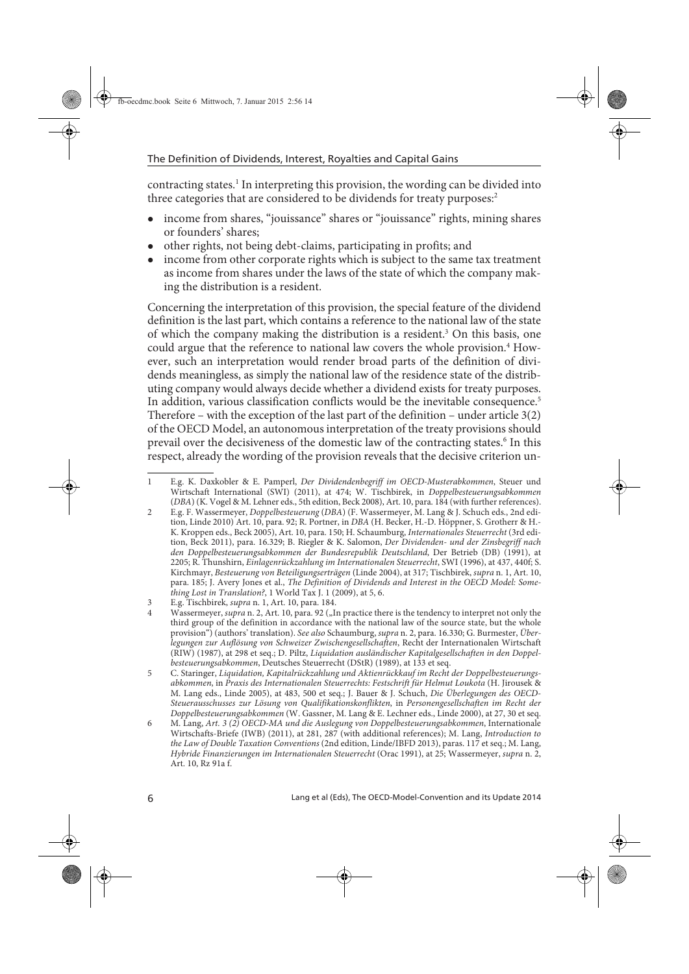contracting states.<sup>1</sup> In interpreting this provision, the wording can be divided into three categories that are considered to be dividends for treaty purposes:<sup>2</sup>

- income from shares, "jouissance" shares or "jouissance" rights, mining shares or founders' shares;
- other rights, not being debt-claims, participating in profits; and
- income from other corporate rights which is subject to the same tax treatment as income from shares under the laws of the state of which the company making the distribution is a resident.

Concerning the interpretation of this provision, the special feature of the dividend definition is the last part, which contains a reference to the national law of the state of which the company making the distribution is a resident.<sup>3</sup> On this basis, one could argue that the reference to national law covers the whole provision.<sup>4</sup> However, such an interpretation would render broad parts of the definition of dividends meaningless, as simply the national law of the residence state of the distributing company would always decide whether a dividend exists for treaty purposes. In addition, various classification conflicts would be the inevitable consequence.<sup>5</sup> Therefore – with the exception of the last part of the definition – under article 3(2) of the OECD Model, an autonomous interpretation of the treaty provisions should prevail over the decisiveness of the domestic law of the contracting states.<sup>6</sup> In this respect, already the wording of the provision reveals that the decisive criterion un-

<sup>1</sup> E.g. K. Daxkobler & E. Pamperl, Der Dividendenbegriff im OECD-Musterabkommen, Steuer und Wirtschaft International (SWI) (2011), at 474; W. Tischbirek, in Doppelbesteuerungsabkommen (DBA) (K. Vogel & M. Lehner eds., 5th edition, Beck 2008), Art. 10, para. 184 (with further references).

<sup>2</sup> E.g. F. Wassermeyer, Doppelbesteuerung (DBA) (F. Wassermeyer, M. Lang & J. Schuch eds., 2nd edition, Linde 2010) Art. 10, para. 92; R. Portner, in DBA (H. Becker, H.-D. Höppner, S. Grotherr & H.- K. Kroppen eds., Beck 2005), Art. 10, para. 150; H. Schaumburg, Internationales Steuerrecht (3rd edition, Beck 2011), para. 16.329; B. Riegler & K. Salomon, Der Dividenden- und der Zinsbegriff nach den Doppelbesteuerungsabkommen der Bundesrepublik Deutschland, Der Betrieb (DB) (1991), at 2205; R. Thunshirn, Einlagenrückzahlung im Internationalen Steuerrecht, SWI (1996), at 437, 440f; S. Kirchmayr, Besteuerung von Beteiligungserträgen (Linde 2004), at 317; Tischbirek, supra n. 1, Art. 10, para. 185; J. Avery Jones et al., The Definition of Dividends and Interest in the OECD Model: Something Lost in Translation?, 1 World Tax J. 1 (2009), at 5, 6.

<sup>3</sup> E.g. Tischbirek, supra n. 1, Art. 10, para. 184.

Wassermeyer, supra n. 2, Art. 10, para. 92 ("In practice there is the tendency to interpret not only the third group of the definition in accordance with the national law of the source state, but the whole provision") (authors' translation). See also Schaumburg, supra n. 2, para. 16.330; G. Burmester, Überlegungen zur Auflösung von Schweizer Zwischengesellschaften, Recht der Internationalen Wirtschaft (RIW) (1987), at 298 et seq.; D. Piltz, Liquidation ausländischer Kapitalgesellschaften in den Doppelbesteuerungsabkommen, Deutsches Steuerrecht (DStR) (1989), at 133 et seq.

<sup>5</sup> C. Staringer, Liquidation, Kapitalrückzahlung und Aktienrückkauf im Recht der Doppelbesteuerungsabkommen, in Praxis des Internationalen Steuerrechts: Festschrift für Helmut Loukota (H. Jirousek & M. Lang eds., Linde 2005), at 483, 500 et seq.; J. Bauer & J. Schuch, Die Überlegungen des OECD-Steuerausschusses zur Lösung von Qualifikationskonflikten, in Personengesellschaften im Recht der Doppelbesteuerungsabkommen (W. Gassner, M. Lang & E. Lechner eds., Linde 2000), at 27, 30 et seq.

<sup>6</sup> M. Lang, Art. 3 (2) OECD-MA und die Auslegung von Doppelbesteuerungsabkommen, Internationale Wirtschafts-Briefe (IWB) (2011), at 281, 287 (with additional references); M. Lang, Introduction to the Law of Double Taxation Conventions (2nd edition, Linde/IBFD 2013), paras. 117 et seq.; M. Lang, Hybride Finanzierungen im Internationalen Steuerrecht (Orac 1991), at 25; Wassermeyer, supra n. 2, Art. 10, Rz 91a f.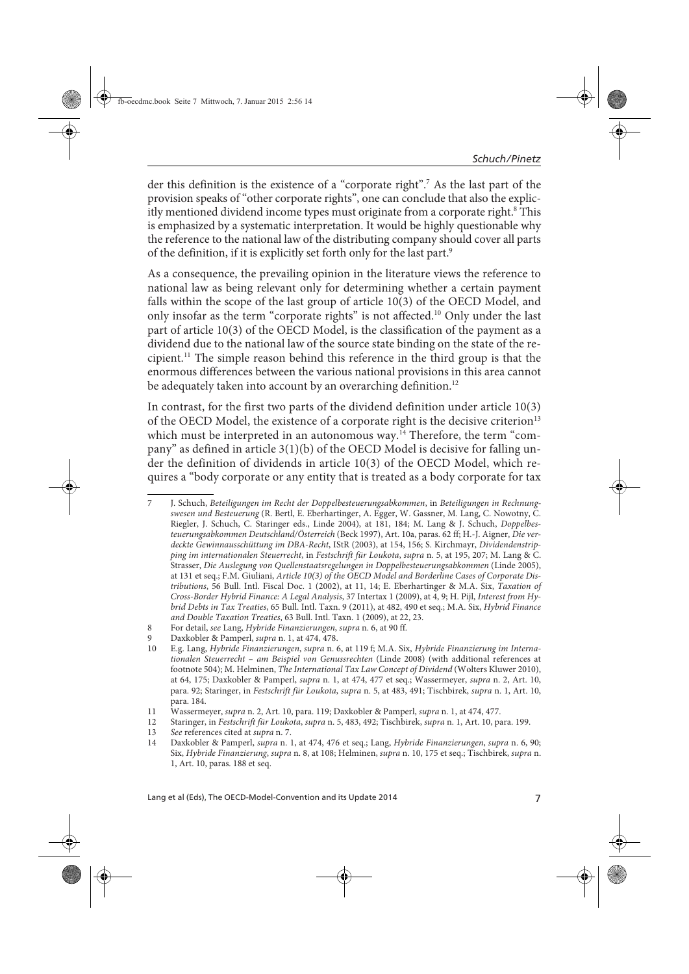der this definition is the existence of a "corporate right".<sup>7</sup> As the last part of the provision speaks of "other corporate rights", one can conclude that also the explicitly mentioned dividend income types must originate from a corporate right.<sup>8</sup> This is emphasized by a systematic interpretation. It would be highly questionable why the reference to the national law of the distributing company should cover all parts of the definition, if it is explicitly set forth only for the last part.9

As a consequence, the prevailing opinion in the literature views the reference to national law as being relevant only for determining whether a certain payment falls within the scope of the last group of article 10(3) of the OECD Model, and only insofar as the term "corporate rights" is not affected.10 Only under the last part of article 10(3) of the OECD Model, is the classification of the payment as a dividend due to the national law of the source state binding on the state of the recipient.11 The simple reason behind this reference in the third group is that the enormous differences between the various national provisions in this area cannot be adequately taken into account by an overarching definition.<sup>12</sup>

In contrast, for the first two parts of the dividend definition under article 10(3) of the OECD Model, the existence of a corporate right is the decisive criterion<sup>13</sup> which must be interpreted in an autonomous way.<sup>14</sup> Therefore, the term "company" as defined in article 3(1)(b) of the OECD Model is decisive for falling under the definition of dividends in article 10(3) of the OECD Model, which requires a "body corporate or any entity that is treated as a body corporate for tax

<sup>7</sup> J. Schuch, Beteiligungen im Recht der Doppelbesteuerungsabkommen, in Beteiligungen in Rechnungswesen und Besteuerung (R. Bertl, E. Eberhartinger, A. Egger, W. Gassner, M. Lang, C. Nowotny, C. Riegler, J. Schuch, C. Staringer eds., Linde 2004), at 181, 184; M. Lang & J. Schuch, Doppelbesteuerungsabkommen Deutschland/Österreich (Beck 1997), Art. 10a, paras. 62 ff; H.-J. Aigner, Die verdeckte Gewinnausschüttung im DBA-Recht, IStR (2003), at 154, 156; S. Kirchmayr, Dividendenstripping im internationalen Steuerrecht, in Festschrift für Loukota, supra n. 5, at 195, 207; M. Lang & C. Strasser, Die Auslegung von Quellenstaatsregelungen in Doppelbesteuerungsabkommen (Linde 2005), at 131 et seq.; F.M. Giuliani, Article 10(3) of the OECD Model and Borderline Cases of Corporate Distributions, 56 Bull. Intl. Fiscal Doc. 1 (2002), at 11, 14; E. Eberhartinger & M.A. Six, Taxation of Cross-Border Hybrid Finance: A Legal Analysis, 37 Intertax 1 (2009), at 4, 9; H. Pijl, Interest from Hybrid Debts in Tax Treaties, 65 Bull. Intl. Taxn. 9 (2011), at 482, 490 et seq.; M.A. Six, Hybrid Finance and Double Taxation Treaties, 63 Bull. Intl. Taxn. 1 (2009), at 22, 23.

<sup>8</sup> For detail, see Lang, Hybride Finanzierungen, supra n. 6, at 90 ff.

<sup>9</sup> Daxkobler & Pamperl, *supra* n. 1, at 474, 478.<br>10 E.g. Lang. Hybride Finanzierungen, supra n. 6

<sup>10</sup> E.g. Lang, Hybride Finanzierungen, supra n. 6, at 119 f; M.A. Six, Hybride Finanzierung im Internationalen Steuerrecht – am Beispiel von Genussrechten (Linde 2008) (with additional references at footnote 504); M. Helminen, The International Tax Law Concept of Dividend (Wolters Kluwer 2010), at 64, 175; Daxkobler & Pamperl, supra n. 1, at 474, 477 et seq.; Wassermeyer, supra n. 2, Art. 10, para. 92; Staringer, in Festschrift für Loukota, supra n. 5, at 483, 491; Tischbirek, supra n. 1, Art. 10, para. 184.

<sup>11</sup> Wassermeyer, *supra* n. 2, Art. 10, para. 119; Daxkobler & Pamperl, *supra* n. 1, at 474, 477.<br>12 Staringer, in *Festschrift für Loukota, supra* n. 5, 483, 492; Tischbirek, *supra* n. 1, Art. 10, pa

<sup>12</sup> Staringer, in Festschrift für Loukota, supra n. 5, 483, 492; Tischbirek, supra n. 1, Art. 10, para. 199.<br>13 See references cited at supra n. 7.

<sup>13</sup> See references cited at *supra* n. 7.<br>14 Daxkobler & Pamperl, *supra* n. 1

<sup>14</sup> Daxkobler & Pamperl, supra n. 1, at 474, 476 et seq.; Lang, Hybride Finanzierungen, supra n. 6, 90; Six, Hybride Finanzierung, supra n. 8, at 108; Helminen, supra n. 10, 175 et seq.; Tischbirek, supra n. 1, Art. 10, paras. 188 et seq.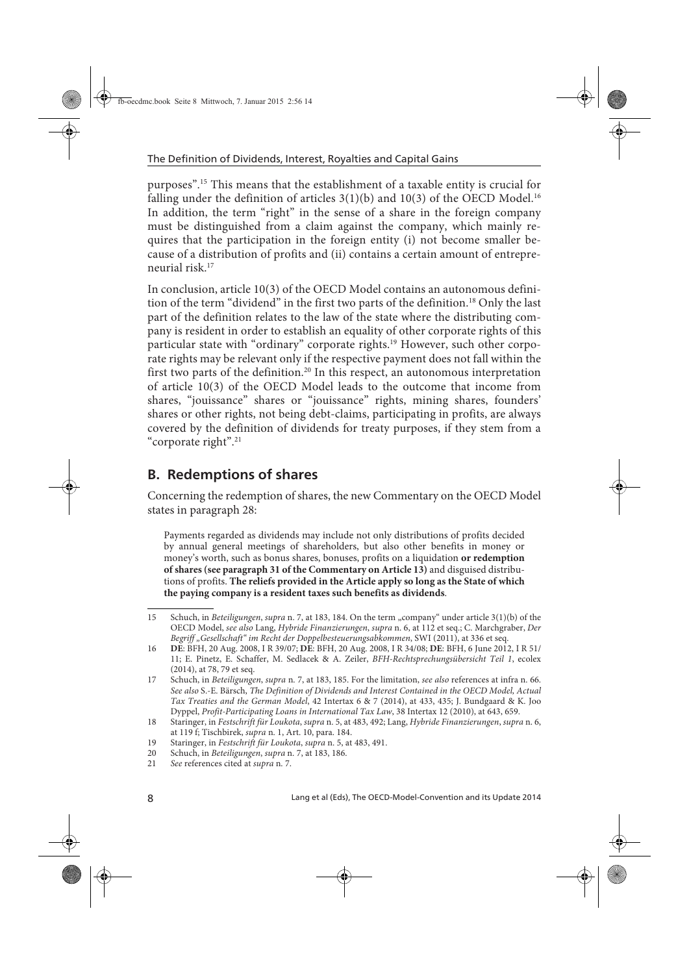purposes".15 This means that the establishment of a taxable entity is crucial for falling under the definition of articles  $3(1)(b)$  and  $10(3)$  of the OECD Model.<sup>16</sup> In addition, the term "right" in the sense of a share in the foreign company must be distinguished from a claim against the company, which mainly requires that the participation in the foreign entity (i) not become smaller because of a distribution of profits and (ii) contains a certain amount of entrepreneurial risk.17

In conclusion, article 10(3) of the OECD Model contains an autonomous definition of the term "dividend" in the first two parts of the definition.<sup>18</sup> Only the last part of the definition relates to the law of the state where the distributing company is resident in order to establish an equality of other corporate rights of this particular state with "ordinary" corporate rights.<sup>19</sup> However, such other corporate rights may be relevant only if the respective payment does not fall within the first two parts of the definition.<sup>20</sup> In this respect, an autonomous interpretation of article 10(3) of the OECD Model leads to the outcome that income from shares, "jouissance" shares or "jouissance" rights, mining shares, founders' shares or other rights, not being debt-claims, participating in profits, are always covered by the definition of dividends for treaty purposes, if they stem from a "corporate right".21

## **B. Redemptions of shares**

Concerning the redemption of shares, the new Commentary on the OECD Model states in paragraph 28:

Payments regarded as dividends may include not only distributions of profits decided by annual general meetings of shareholders, but also other benefits in money or money's worth, such as bonus shares, bonuses, profits on a liquidation **or redemption of shares (see paragraph 31 of the Commentary on Article 13)** and disguised distributions of profits. **The reliefs provided in the Article apply so long as the State of which the paying company is a resident taxes such benefits as dividends**.

<sup>15</sup> Schuch, in Beteiligungen, supra n. 7, at 183, 184. On the term "company" under article 3(1)(b) of the OECD Model, see also Lang, Hybride Finanzierungen, supra n. 6, at 112 et seq.; C. Marchgraber, Der Begriff "Gesellschaft" im Recht der Doppelbesteuerungsabkommen, SWI (2011), at 336 et seq.

<sup>16</sup> **DE**: BFH, 20 Aug. 2008, I R 39/07; **DE**: BFH, 20 Aug. 2008, I R 34/08; **DE**: BFH, 6 June 2012, I R 51/ 11; E. Pinetz, E. Schaffer, M. Sedlacek & A. Zeiler, BFH-Rechtsprechungsübersicht Teil 1, ecolex (2014), at 78, 79 et seq.

<sup>17</sup> Schuch, in Beteiligungen, supra n. 7, at 183, 185. For the limitation, see also references at infra n. 66. See also S.-E. Bärsch, The Definition of Dividends and Interest Contained in the OECD Model, Actual Tax Treaties and the German Model, 42 Intertax 6 & 7 (2014), at 433, 435; J. Bundgaard & K. Joo Dyppel, Profit-Participating Loans in International Tax Law, 38 Intertax 12 (2010), at 643, 659.

<sup>18</sup> Staringer, in Festschrift für Loukota, supra n. 5, at 483, 492; Lang, Hybride Finanzierungen, supra n. 6, at 119 f; Tischbirek, supra n. 1, Art. 10, para. 184.

<sup>19</sup> Staringer, in Festschrift für Loukota, supra n. 5, at 483, 491.<br>20 Schuch, in Beteiligungen, supra n. 7, at 183, 186.

<sup>20</sup> Schuch, in Beteiligungen, supra n. 7, at 183, 186.<br>21 See references cited at supra n. 7.

See references cited at supra n. 7.